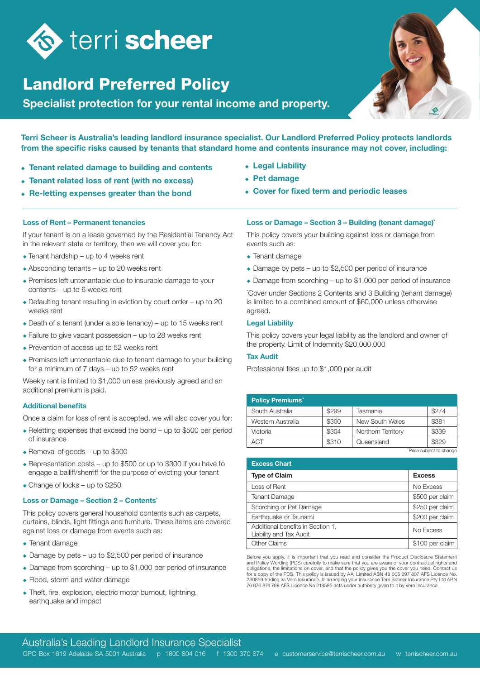

## Landlord Preferred Policy

Specialist protection for your rental income and property.



Terri Scheer is Australia's leading landlord insurance specialist. Our Landlord Preferred Policy protects landlords from the specific risks caused by tenants that standard home and contents insurance may not cover, including:

- $\overline{\bullet}$  Tenant related damage to building and contents
- Tenant related loss of rent (with no excess)
- $\overline{\bullet}$  Re-letting expenses greater than the bond
- Legal Liability
- $\cdot$  Pet damage
- $\triangle$  Cover for fixed term and periodic leases

#### Loss of Rent – Permanent tenancies

If your tenant is on a lease governed by the Residential Tenancy Act in the relevant state or territory, then we will cover you for:

- $\bullet$  Tenant hardship up to 4 weeks rent
- $\triangle$  Absconding tenants up to 20 weeks rent
- $\bullet$  Premises left untenantable due to insurable damage to your contents – up to 6 weeks rent
- $\bullet$  Defaulting tenant resulting in eviction by court order up to 20 weeks rent
- $\bullet$  Death of a tenant (under a sole tenancy) up to 15 weeks rent
- $\bullet$  Failure to give vacant possession up to 28 weeks rent
- $\bullet$  Prevention of access up to 52 weeks rent
- $\bullet$  Premises left untenantable due to tenant damage to your building for a minimum of 7 days – up to 52 weeks rent

Weekly rent is limited to \$1,000 unless previously agreed and an additional premium is paid.

### Additional benefits

Once a claim for loss of rent is accepted, we will also cover you for:

- $\bullet$  Reletting expenses that exceed the bond up to \$500 per period of insurance
- $\triangle$  Removal of goods up to \$500
- $\triangle$  Representation costs up to \$500 or up to \$300 if you have to engage a bailiff/sherriff for the purpose of evicting your tenant
- $\triangle$  Change of locks up to \$250

#### Loss or Damage - Section 2 - Contents<sup>\*</sup>

This policy covers general household contents such as carpets, curtains, blinds, light fittings and furniture. These items are covered against loss or damage from events such as:

- $\overline{\bullet}$  Tenant damage
- $\bullet$  Damage by pets up to \$2,500 per period of insurance
- $\bullet$  Damage from scorching up to \$1,000 per period of insurance
- $\bullet$  Flood, storm and water damage
- $\bullet$  Theft, fire, explosion, electric motor burnout, lightning, earthquake and impact

#### Loss or Damage – Section 3 – Building (tenant damage)\*

This policy covers your building against loss or damage from events such as:

- $\bullet$  Tenant damage
- $\bullet$  Damage by pets up to \$2,500 per period of insurance
- $\bullet$  Damage from scorching up to \$1,000 per period of insurance

\* Cover under Sections 2 Contents and 3 Building (tenant damage) is limited to a combined amount of \$60,000 unless otherwise agreed.

#### Legal Liability

This policy covers your legal liability as the landlord and owner of the property. Limit of Indemnity \$20,000,000

#### Tax Audit

Professional fees up to \$1,000 per audit

| <b>Policy Premiums<sup>+</sup></b> |       |                    |       |
|------------------------------------|-------|--------------------|-------|
| South Australia                    | \$299 | Tasmania           | \$274 |
| Western Australia                  | \$300 | New South Wales    | \$381 |
| Victoria                           | \$304 | Northern Territory | \$339 |
| ACT                                | \$310 | Queensland         | \$329 |

+ Price subject to change

| <b>Excess Chart</b>                                          |                 |  |  |
|--------------------------------------------------------------|-----------------|--|--|
| <b>Type of Claim</b>                                         | <b>Excess</b>   |  |  |
| Loss of Rent                                                 | No Excess       |  |  |
| <b>Tenant Damage</b>                                         | \$500 per claim |  |  |
| Scorching or Pet Damage                                      | \$250 per claim |  |  |
| Earthquake or Tsunami                                        | \$200 per claim |  |  |
| Additional benefits in Section 1,<br>Liability and Tax Audit | No Excess       |  |  |
| <b>Other Claims</b>                                          | \$100 per claim |  |  |

Before you apply, it is important that you read and consider the Product Disclosure Statement and Policy Wording (PDS) carefully to make sure that you are aware of your contractual rights and obligations, the limitations on cover, and that the policy gives you the cover you need. Contact us for a copy of the PDS. This policy is issued by AAI Limited ABN 48 005 297 807 AFS Licence No. 230859 trading as Vero Insurance. In arranging your insurance Terri Scheer Insurance Pty Ltd ABN 76 070 874 798 AFS Licence No 218585 acts under authority given to it by Vero Insurance.